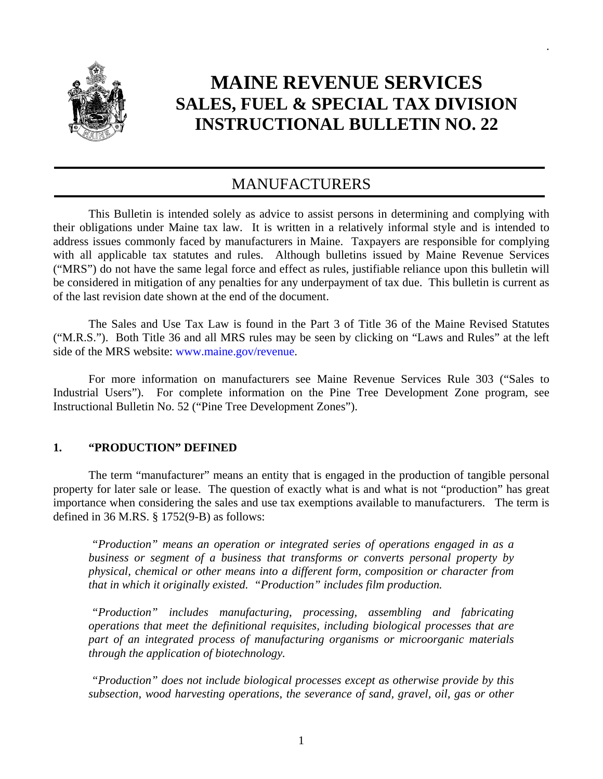

# **MAINE REVENUE SERVICES SALES, FUEL & SPECIAL TAX DIVISION INSTRUCTIONAL BULLETIN NO. 22**

.

# MANUFACTURERS

 This Bulletin is intended solely as advice to assist persons in determining and complying with their obligations under Maine tax law. It is written in a relatively informal style and is intended to address issues commonly faced by manufacturers in Maine. Taxpayers are responsible for complying with all applicable tax statutes and rules. Although bulletins issued by Maine Revenue Services ("MRS") do not have the same legal force and effect as rules, justifiable reliance upon this bulletin will be considered in mitigation of any penalties for any underpayment of tax due. This bulletin is current as of the last revision date shown at the end of the document.

 The Sales and Use Tax Law is found in the Part 3 of Title 36 of the Maine Revised Statutes ("M.R.S."). Both Title 36 and all MRS rules may be seen by clicking on "Laws and Rules" at the left side of the MRS website: www.maine.gov/revenue.

 For more information on manufacturers see Maine Revenue Services Rule 303 ("Sales to Industrial Users"). For complete information on the Pine Tree Development Zone program, see Instructional Bulletin No. 52 ("Pine Tree Development Zones").

# **1. "PRODUCTION" DEFINED**

 The term "manufacturer" means an entity that is engaged in the production of tangible personal property for later sale or lease. The question of exactly what is and what is not "production" has great importance when considering the sales and use tax exemptions available to manufacturers. The term is defined in 36 M.RS. § 1752(9-B) as follows:

 *"Production" means an operation or integrated series of operations engaged in as a business or segment of a business that transforms or converts personal property by physical, chemical or other means into a different form, composition or character from that in which it originally existed. "Production" includes film production.* 

 *"Production" includes manufacturing, processing, assembling and fabricating operations that meet the definitional requisites, including biological processes that are part of an integrated process of manufacturing organisms or microorganic materials through the application of biotechnology.* 

 *"Production" does not include biological processes except as otherwise provide by this subsection, wood harvesting operations, the severance of sand, gravel, oil, gas or other*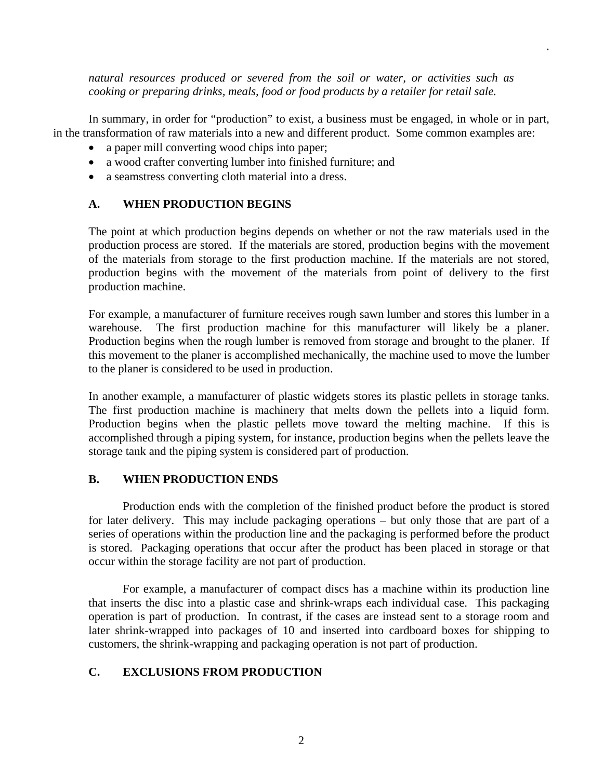*natural resources produced or severed from the soil or water, or activities such as cooking or preparing drinks, meals, food or food products by a retailer for retail sale.* 

.

 In summary, in order for "production" to exist, a business must be engaged, in whole or in part, in the transformation of raw materials into a new and different product. Some common examples are:

- a paper mill converting wood chips into paper;
- a wood crafter converting lumber into finished furniture; and
- a seamstress converting cloth material into a dress.

# **A. WHEN PRODUCTION BEGINS**

The point at which production begins depends on whether or not the raw materials used in the production process are stored. If the materials are stored, production begins with the movement of the materials from storage to the first production machine. If the materials are not stored, production begins with the movement of the materials from point of delivery to the first production machine.

For example, a manufacturer of furniture receives rough sawn lumber and stores this lumber in a warehouse. The first production machine for this manufacturer will likely be a planer. Production begins when the rough lumber is removed from storage and brought to the planer. If this movement to the planer is accomplished mechanically, the machine used to move the lumber to the planer is considered to be used in production.

In another example, a manufacturer of plastic widgets stores its plastic pellets in storage tanks. The first production machine is machinery that melts down the pellets into a liquid form. Production begins when the plastic pellets move toward the melting machine. If this is accomplished through a piping system, for instance, production begins when the pellets leave the storage tank and the piping system is considered part of production.

#### **B. WHEN PRODUCTION ENDS**

 Production ends with the completion of the finished product before the product is stored for later delivery. This may include packaging operations – but only those that are part of a series of operations within the production line and the packaging is performed before the product is stored. Packaging operations that occur after the product has been placed in storage or that occur within the storage facility are not part of production.

 For example, a manufacturer of compact discs has a machine within its production line that inserts the disc into a plastic case and shrink-wraps each individual case. This packaging operation is part of production. In contrast, if the cases are instead sent to a storage room and later shrink-wrapped into packages of 10 and inserted into cardboard boxes for shipping to customers, the shrink-wrapping and packaging operation is not part of production.

# **C. EXCLUSIONS FROM PRODUCTION**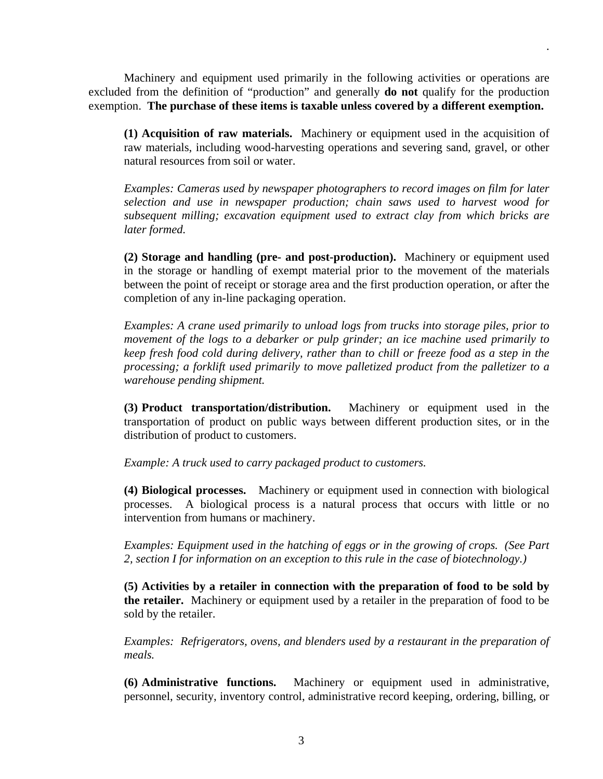Machinery and equipment used primarily in the following activities or operations are excluded from the definition of "production" and generally **do not** qualify for the production exemption. **The purchase of these items is taxable unless covered by a different exemption.**

**(1) Acquisition of raw materials.** Machinery or equipment used in the acquisition of raw materials, including wood-harvesting operations and severing sand, gravel, or other natural resources from soil or water.

.

*Examples: Cameras used by newspaper photographers to record images on film for later selection and use in newspaper production; chain saws used to harvest wood for subsequent milling; excavation equipment used to extract clay from which bricks are later formed.* 

**(2) Storage and handling (pre- and post-production).** Machinery or equipment used in the storage or handling of exempt material prior to the movement of the materials between the point of receipt or storage area and the first production operation, or after the completion of any in-line packaging operation.

*Examples: A crane used primarily to unload logs from trucks into storage piles, prior to movement of the logs to a debarker or pulp grinder; an ice machine used primarily to keep fresh food cold during delivery, rather than to chill or freeze food as a step in the processing; a forklift used primarily to move palletized product from the palletizer to a warehouse pending shipment.* 

**(3) Product transportation/distribution.** Machinery or equipment used in the transportation of product on public ways between different production sites, or in the distribution of product to customers.

*Example: A truck used to carry packaged product to customers.*

**(4) Biological processes.** Machinery or equipment used in connection with biological processes. A biological process is a natural process that occurs with little or no intervention from humans or machinery.

*Examples: Equipment used in the hatching of eggs or in the growing of crops. (See Part 2, section I for information on an exception to this rule in the case of biotechnology.)* 

**(5) Activities by a retailer in connection with the preparation of food to be sold by the retailer.** Machinery or equipment used by a retailer in the preparation of food to be sold by the retailer.

*Examples: Refrigerators, ovens, and blenders used by a restaurant in the preparation of meals.* 

**(6) Administrative functions.** Machinery or equipment used in administrative, personnel, security, inventory control, administrative record keeping, ordering, billing, or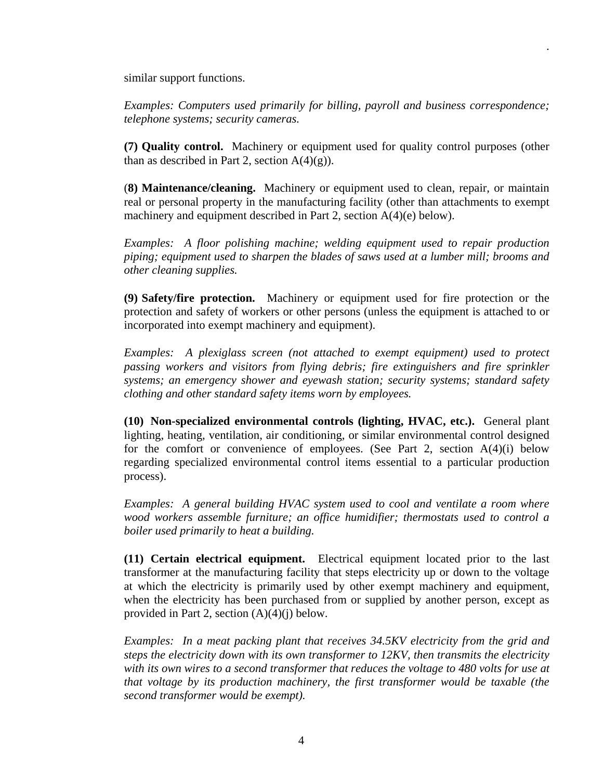similar support functions.

*Examples: Computers used primarily for billing, payroll and business correspondence; telephone systems; security cameras.* 

.

**(7) Quality control.** Machinery or equipment used for quality control purposes (other than as described in Part 2, section  $A(4)(g)$ ).

(**8) Maintenance/cleaning.** Machinery or equipment used to clean, repair, or maintain real or personal property in the manufacturing facility (other than attachments to exempt machinery and equipment described in Part 2, section A(4)(e) below).

*Examples: A floor polishing machine; welding equipment used to repair production piping; equipment used to sharpen the blades of saws used at a lumber mill; brooms and other cleaning supplies.*

**(9) Safety/fire protection.** Machinery or equipment used for fire protection or the protection and safety of workers or other persons (unless the equipment is attached to or incorporated into exempt machinery and equipment).

*Examples: A plexiglass screen (not attached to exempt equipment) used to protect passing workers and visitors from flying debris; fire extinguishers and fire sprinkler systems; an emergency shower and eyewash station; security systems; standard safety clothing and other standard safety items worn by employees.* 

**(10) Non-specialized environmental controls (lighting, HVAC, etc.).** General plant lighting, heating, ventilation, air conditioning, or similar environmental control designed for the comfort or convenience of employees. (See Part 2, section  $A(4)(i)$  below regarding specialized environmental control items essential to a particular production process).

*Examples: A general building HVAC system used to cool and ventilate a room where wood workers assemble furniture; an office humidifier; thermostats used to control a boiler used primarily to heat a building.* 

**(11) Certain electrical equipment.** Electrical equipment located prior to the last transformer at the manufacturing facility that steps electricity up or down to the voltage at which the electricity is primarily used by other exempt machinery and equipment, when the electricity has been purchased from or supplied by another person, except as provided in Part 2, section  $(A)(4)(i)$  below.

*Examples: In a meat packing plant that receives 34.5KV electricity from the grid and steps the electricity down with its own transformer to 12KV, then transmits the electricity*  with its own wires to a second transformer that reduces the voltage to 480 volts for use at *that voltage by its production machinery, the first transformer would be taxable (the second transformer would be exempt).*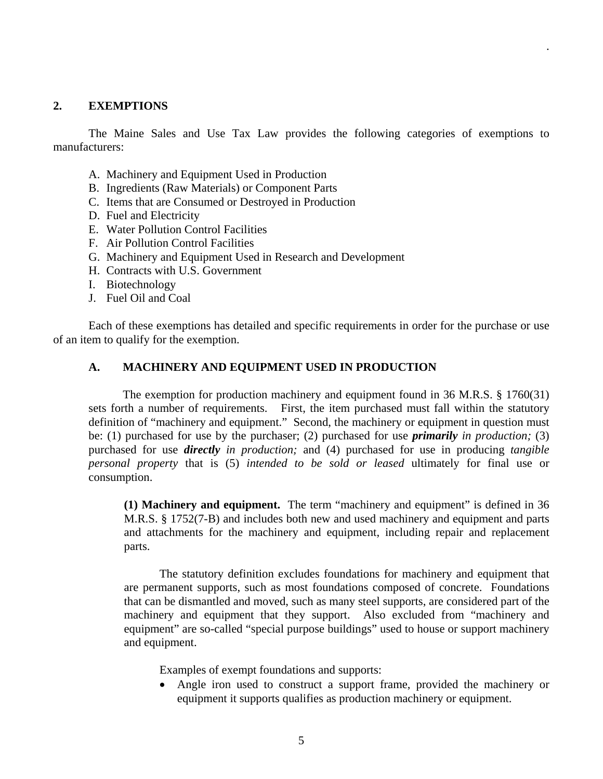#### **2. EXEMPTIONS**

 The Maine Sales and Use Tax Law provides the following categories of exemptions to manufacturers:

.

- A. Machinery and Equipment Used in Production
- B. Ingredients (Raw Materials) or Component Parts
- C. Items that are Consumed or Destroyed in Production
- D. Fuel and Electricity
- E. Water Pollution Control Facilities
- F. Air Pollution Control Facilities
- G. Machinery and Equipment Used in Research and Development
- H. Contracts with U.S. Government
- I. Biotechnology
- J. Fuel Oil and Coal

 Each of these exemptions has detailed and specific requirements in order for the purchase or use of an item to qualify for the exemption.

# **A. MACHINERY AND EQUIPMENT USED IN PRODUCTION**

The exemption for production machinery and equipment found in 36 M.R.S. § 1760(31) sets forth a number of requirements. First, the item purchased must fall within the statutory definition of "machinery and equipment." Second, the machinery or equipment in question must be: (1) purchased for use by the purchaser; (2) purchased for use *primarily in production;* (3) purchased for use *directly in production;* and (4) purchased for use in producing *tangible personal property* that is (5) *intended to be sold or leased* ultimately for final use or consumption.

**(1) Machinery and equipment.** The term "machinery and equipment" is defined in 36 M.R.S. § 1752(7-B) and includes both new and used machinery and equipment and parts and attachments for the machinery and equipment, including repair and replacement parts.

 The statutory definition excludes foundations for machinery and equipment that are permanent supports, such as most foundations composed of concrete. Foundations that can be dismantled and moved, such as many steel supports, are considered part of the machinery and equipment that they support. Also excluded from "machinery and equipment" are so-called "special purpose buildings" used to house or support machinery and equipment.

Examples of exempt foundations and supports:

 Angle iron used to construct a support frame, provided the machinery or equipment it supports qualifies as production machinery or equipment.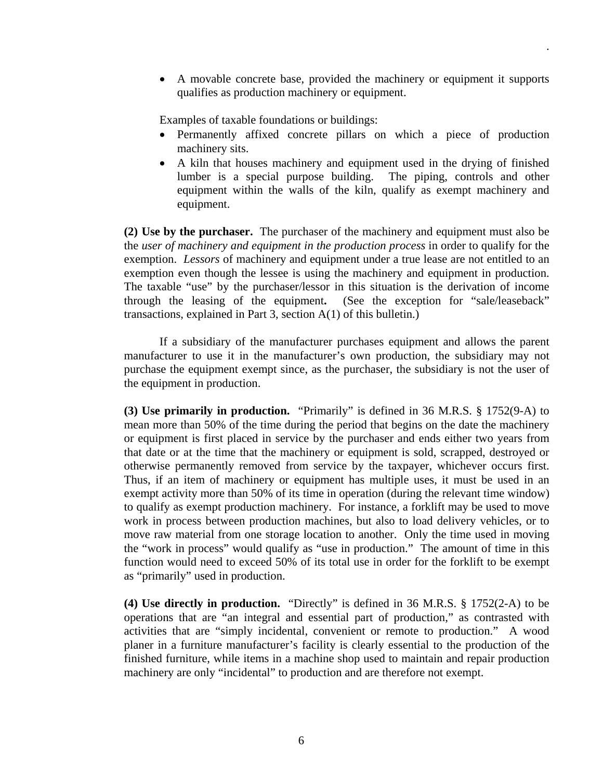A movable concrete base, provided the machinery or equipment it supports qualifies as production machinery or equipment.

.

Examples of taxable foundations or buildings:

- Permanently affixed concrete pillars on which a piece of production machinery sits.
- A kiln that houses machinery and equipment used in the drying of finished lumber is a special purpose building. The piping, controls and other equipment within the walls of the kiln, qualify as exempt machinery and equipment.

**(2) Use by the purchaser.** The purchaser of the machinery and equipment must also be the *user of machinery and equipment in the production process* in order to qualify for the exemption. *Lessors* of machinery and equipment under a true lease are not entitled to an exemption even though the lessee is using the machinery and equipment in production. The taxable "use" by the purchaser/lessor in this situation is the derivation of income through the leasing of the equipment**.** (See the exception for "sale/leaseback" transactions, explained in Part 3, section A(1) of this bulletin.)

 If a subsidiary of the manufacturer purchases equipment and allows the parent manufacturer to use it in the manufacturer's own production, the subsidiary may not purchase the equipment exempt since, as the purchaser, the subsidiary is not the user of the equipment in production.

**(3) Use primarily in production.** "Primarily" is defined in 36 M.R.S. § 1752(9-A) to mean more than 50% of the time during the period that begins on the date the machinery or equipment is first placed in service by the purchaser and ends either two years from that date or at the time that the machinery or equipment is sold, scrapped, destroyed or otherwise permanently removed from service by the taxpayer, whichever occurs first. Thus, if an item of machinery or equipment has multiple uses, it must be used in an exempt activity more than 50% of its time in operation (during the relevant time window) to qualify as exempt production machinery. For instance, a forklift may be used to move work in process between production machines, but also to load delivery vehicles, or to move raw material from one storage location to another. Only the time used in moving the "work in process" would qualify as "use in production." The amount of time in this function would need to exceed 50% of its total use in order for the forklift to be exempt as "primarily" used in production.

**(4) Use directly in production.** "Directly" is defined in 36 M.R.S. § 1752(2-A) to be operations that are "an integral and essential part of production," as contrasted with activities that are "simply incidental, convenient or remote to production." A wood planer in a furniture manufacturer's facility is clearly essential to the production of the finished furniture, while items in a machine shop used to maintain and repair production machinery are only "incidental" to production and are therefore not exempt.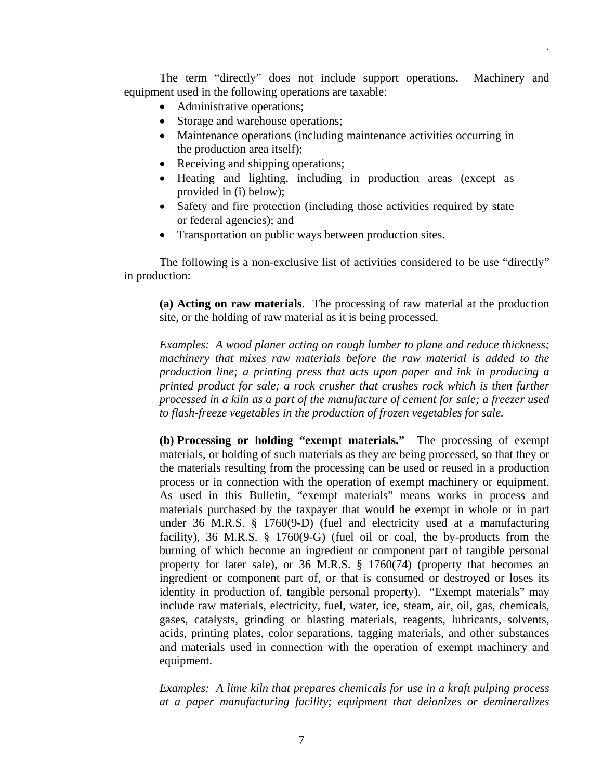The term "directly" does not include support operations. Machinery and equipment used in the following operations are taxable:

.

- Administrative operations;
- Storage and warehouse operations;
- Maintenance operations (including maintenance activities occurring in the production area itself);
- Receiving and shipping operations;
- Heating and lighting, including in production areas (except as provided in (i) below);
- Safety and fire protection (including those activities required by state or federal agencies); and
- Transportation on public ways between production sites.

 The following is a non-exclusive list of activities considered to be use "directly" in production:

**(a) Acting on raw materials**. The processing of raw material at the production site, or the holding of raw material as it is being processed.

*Examples: A wood planer acting on rough lumber to plane and reduce thickness; machinery that mixes raw materials before the raw material is added to the production line; a printing press that acts upon paper and ink in producing a printed product for sale; a rock crusher that crushes rock which is then further processed in a kiln as a part of the manufacture of cement for sale; a freezer used to flash-freeze vegetables in the production of frozen vegetables for sale.* 

**(b) Processing or holding "exempt materials."** The processing of exempt materials, or holding of such materials as they are being processed, so that they or the materials resulting from the processing can be used or reused in a production process or in connection with the operation of exempt machinery or equipment. As used in this Bulletin, "exempt materials" means works in process and materials purchased by the taxpayer that would be exempt in whole or in part under 36 M.R.S. § 1760(9-D) (fuel and electricity used at a manufacturing facility), 36 M.R.S. § 1760(9-G) (fuel oil or coal, the by-products from the burning of which become an ingredient or component part of tangible personal property for later sale), or 36 M.R.S. § 1760(74) (property that becomes an ingredient or component part of, or that is consumed or destroyed or loses its identity in production of, tangible personal property). "Exempt materials" may include raw materials, electricity, fuel, water, ice, steam, air, oil, gas, chemicals, gases, catalysts, grinding or blasting materials, reagents, lubricants, solvents, acids, printing plates, color separations, tagging materials, and other substances and materials used in connection with the operation of exempt machinery and equipment.

*Examples: A lime kiln that prepares chemicals for use in a kraft pulping process at a paper manufacturing facility; equipment that deionizes or demineralizes*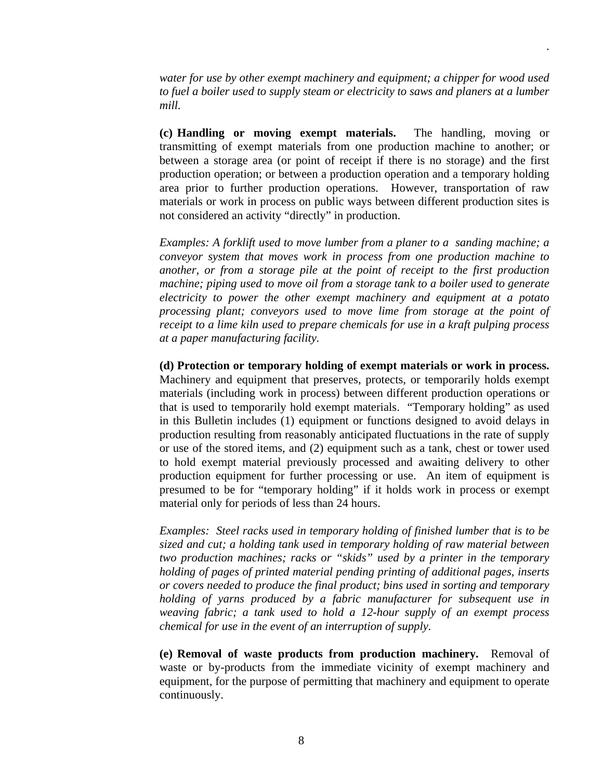*water for use by other exempt machinery and equipment; a chipper for wood used to fuel a boiler used to supply steam or electricity to saws and planers at a lumber mill.*

.

**(c) Handling or moving exempt materials.** The handling, moving or transmitting of exempt materials from one production machine to another; or between a storage area (or point of receipt if there is no storage) and the first production operation; or between a production operation and a temporary holding area prior to further production operations. However, transportation of raw materials or work in process on public ways between different production sites is not considered an activity "directly" in production.

*Examples: A forklift used to move lumber from a planer to a sanding machine; a conveyor system that moves work in process from one production machine to another, or from a storage pile at the point of receipt to the first production machine; piping used to move oil from a storage tank to a boiler used to generate electricity to power the other exempt machinery and equipment at a potato processing plant; conveyors used to move lime from storage at the point of receipt to a lime kiln used to prepare chemicals for use in a kraft pulping process at a paper manufacturing facility.* 

**(d) Protection or temporary holding of exempt materials or work in process.** Machinery and equipment that preserves, protects, or temporarily holds exempt materials (including work in process) between different production operations or that is used to temporarily hold exempt materials. "Temporary holding" as used in this Bulletin includes (1) equipment or functions designed to avoid delays in production resulting from reasonably anticipated fluctuations in the rate of supply or use of the stored items, and (2) equipment such as a tank, chest or tower used to hold exempt material previously processed and awaiting delivery to other production equipment for further processing or use. An item of equipment is presumed to be for "temporary holding" if it holds work in process or exempt material only for periods of less than 24 hours.

 *Examples: Steel racks used in temporary holding of finished lumber that is to be sized and cut; a holding tank used in temporary holding of raw material between two production machines; racks or "skids" used by a printer in the temporary holding of pages of printed material pending printing of additional pages, inserts or covers needed to produce the final product; bins used in sorting and temporary holding of yarns produced by a fabric manufacturer for subsequent use in weaving fabric; a tank used to hold a 12-hour supply of an exempt process chemical for use in the event of an interruption of supply.* 

**(e) Removal of waste products from production machinery.** Removal of waste or by-products from the immediate vicinity of exempt machinery and equipment, for the purpose of permitting that machinery and equipment to operate continuously.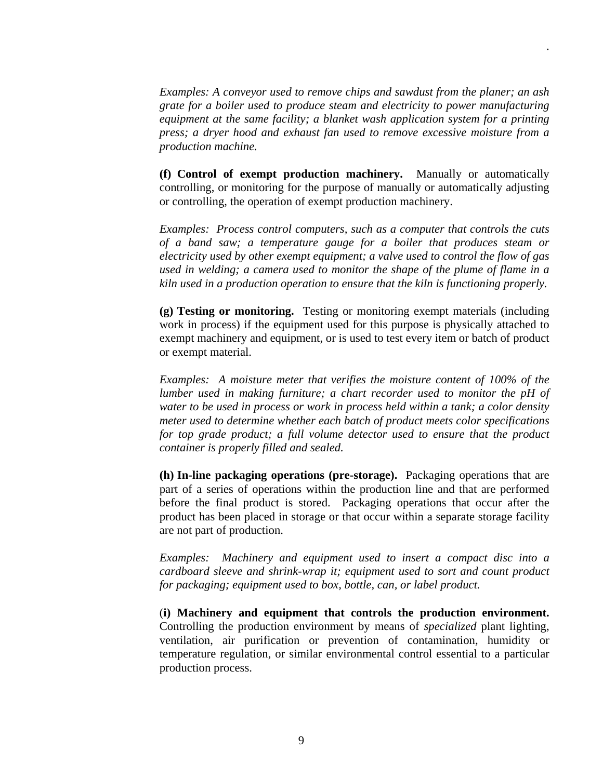*Examples: A conveyor used to remove chips and sawdust from the planer; an ash grate for a boiler used to produce steam and electricity to power manufacturing equipment at the same facility; a blanket wash application system for a printing press; a dryer hood and exhaust fan used to remove excessive moisture from a production machine.*

.

**(f) Control of exempt production machinery.** Manually or automatically controlling, or monitoring for the purpose of manually or automatically adjusting or controlling, the operation of exempt production machinery.

 *Examples: Process control computers, such as a computer that controls the cuts of a band saw; a temperature gauge for a boiler that produces steam or electricity used by other exempt equipment; a valve used to control the flow of gas used in welding; a camera used to monitor the shape of the plume of flame in a kiln used in a production operation to ensure that the kiln is functioning properly.* 

**(g) Testing or monitoring.** Testing or monitoring exempt materials (including work in process) if the equipment used for this purpose is physically attached to exempt machinery and equipment, or is used to test every item or batch of product or exempt material.

*Examples: A moisture meter that verifies the moisture content of 100% of the lumber used in making furniture; a chart recorder used to monitor the pH of water to be used in process or work in process held within a tank; a color density meter used to determine whether each batch of product meets color specifications for top grade product; a full volume detector used to ensure that the product container is properly filled and sealed.* 

**(h) In-line packaging operations (pre-storage).** Packaging operations that are part of a series of operations within the production line and that are performed before the final product is stored. Packaging operations that occur after the product has been placed in storage or that occur within a separate storage facility are not part of production.

*Examples: Machinery and equipment used to insert a compact disc into a cardboard sleeve and shrink-wrap it; equipment used to sort and count product for packaging; equipment used to box, bottle, can, or label product.* 

(**i) Machinery and equipment that controls the production environment.** Controlling the production environment by means of *specialized* plant lighting, ventilation, air purification or prevention of contamination, humidity or temperature regulation, or similar environmental control essential to a particular production process.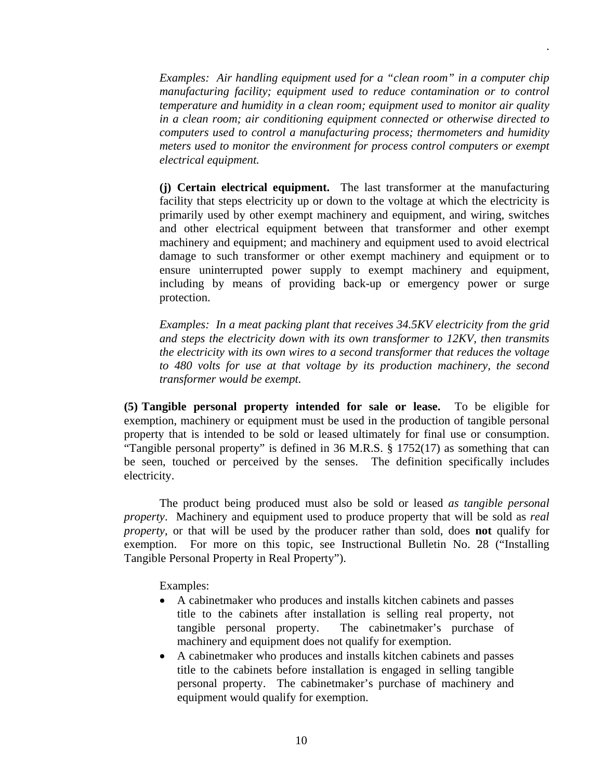*Examples: Air handling equipment used for a "clean room" in a computer chip manufacturing facility; equipment used to reduce contamination or to control temperature and humidity in a clean room; equipment used to monitor air quality in a clean room; air conditioning equipment connected or otherwise directed to computers used to control a manufacturing process; thermometers and humidity meters used to monitor the environment for process control computers or exempt electrical equipment.* 

.

**(j) Certain electrical equipment.** The last transformer at the manufacturing facility that steps electricity up or down to the voltage at which the electricity is primarily used by other exempt machinery and equipment, and wiring, switches and other electrical equipment between that transformer and other exempt machinery and equipment; and machinery and equipment used to avoid electrical damage to such transformer or other exempt machinery and equipment or to ensure uninterrupted power supply to exempt machinery and equipment, including by means of providing back-up or emergency power or surge protection.

*Examples: In a meat packing plant that receives 34.5KV electricity from the grid and steps the electricity down with its own transformer to 12KV, then transmits the electricity with its own wires to a second transformer that reduces the voltage to 480 volts for use at that voltage by its production machinery, the second transformer would be exempt.* 

**(5) Tangible personal property intended for sale or lease.** To be eligible for exemption, machinery or equipment must be used in the production of tangible personal property that is intended to be sold or leased ultimately for final use or consumption. "Tangible personal property" is defined in 36 M.R.S.  $\S 1752(17)$  as something that can be seen, touched or perceived by the senses. The definition specifically includes electricity.

 The product being produced must also be sold or leased *as tangible personal property*. Machinery and equipment used to produce property that will be sold as *real property*, or that will be used by the producer rather than sold, does **not** qualify for exemption. For more on this topic, see Instructional Bulletin No. 28 ("Installing Tangible Personal Property in Real Property").

Examples:

- A cabinetmaker who produces and installs kitchen cabinets and passes title to the cabinets after installation is selling real property, not tangible personal property. The cabinetmaker's purchase of machinery and equipment does not qualify for exemption.
- A cabinetmaker who produces and installs kitchen cabinets and passes title to the cabinets before installation is engaged in selling tangible personal property. The cabinetmaker's purchase of machinery and equipment would qualify for exemption.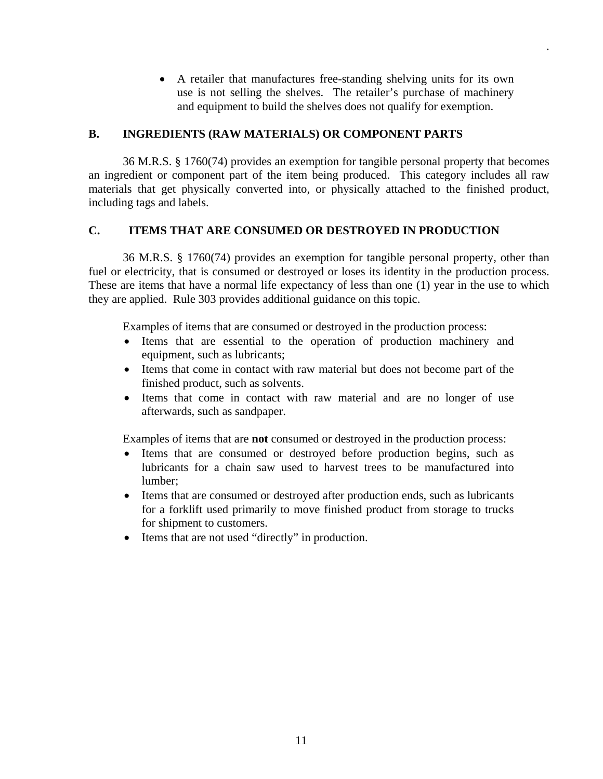A retailer that manufactures free-standing shelving units for its own use is not selling the shelves. The retailer's purchase of machinery and equipment to build the shelves does not qualify for exemption.

.

# **B. INGREDIENTS (RAW MATERIALS) OR COMPONENT PARTS**

 36 M.R.S. § 1760(74) provides an exemption for tangible personal property that becomes an ingredient or component part of the item being produced. This category includes all raw materials that get physically converted into, or physically attached to the finished product, including tags and labels.

# **C. ITEMS THAT ARE CONSUMED OR DESTROYED IN PRODUCTION**

 36 M.R.S. § 1760(74) provides an exemption for tangible personal property, other than fuel or electricity, that is consumed or destroyed or loses its identity in the production process. These are items that have a normal life expectancy of less than one (1) year in the use to which they are applied. Rule 303 provides additional guidance on this topic.

Examples of items that are consumed or destroyed in the production process:

- Items that are essential to the operation of production machinery and equipment, such as lubricants;
- Items that come in contact with raw material but does not become part of the finished product, such as solvents.
- Items that come in contact with raw material and are no longer of use afterwards, such as sandpaper.

Examples of items that are **not** consumed or destroyed in the production process:

- Items that are consumed or destroyed before production begins, such as lubricants for a chain saw used to harvest trees to be manufactured into lumber;
- Items that are consumed or destroyed after production ends, such as lubricants for a forklift used primarily to move finished product from storage to trucks for shipment to customers.
- Items that are not used "directly" in production.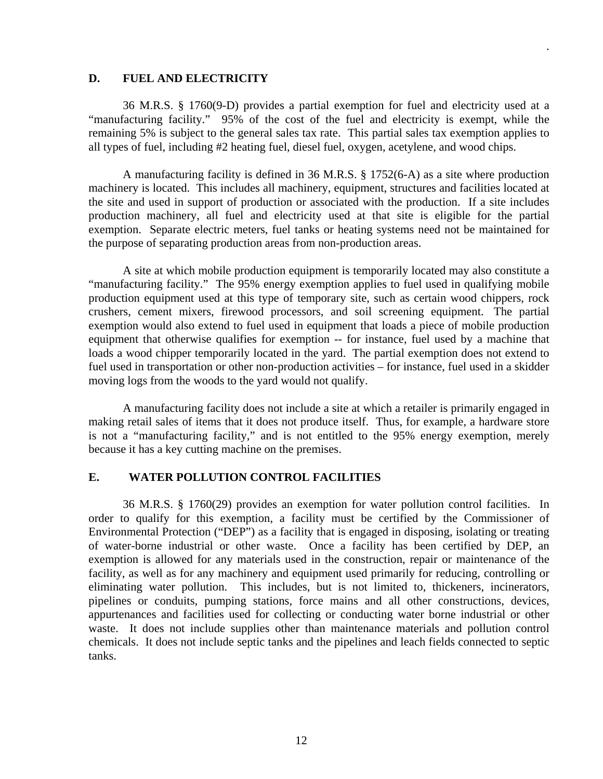#### **D. FUEL AND ELECTRICITY**

 36 M.R.S. § 1760(9-D) provides a partial exemption for fuel and electricity used at a "manufacturing facility." 95% of the cost of the fuel and electricity is exempt, while the remaining 5% is subject to the general sales tax rate. This partial sales tax exemption applies to all types of fuel, including #2 heating fuel, diesel fuel, oxygen, acetylene, and wood chips.

.

 A manufacturing facility is defined in 36 M.R.S. § 1752(6-A) as a site where production machinery is located.This includes all machinery, equipment, structures and facilities located at the site and used in support of production or associated with the production. If a site includes production machinery, all fuel and electricity used at that site is eligible for the partial exemption. Separate electric meters, fuel tanks or heating systems need not be maintained for the purpose of separating production areas from non-production areas.

 A site at which mobile production equipment is temporarily located may also constitute a "manufacturing facility." The 95% energy exemption applies to fuel used in qualifying mobile production equipment used at this type of temporary site, such as certain wood chippers, rock crushers, cement mixers, firewood processors, and soil screening equipment. The partial exemption would also extend to fuel used in equipment that loads a piece of mobile production equipment that otherwise qualifies for exemption -- for instance, fuel used by a machine that loads a wood chipper temporarily located in the yard. The partial exemption does not extend to fuel used in transportation or other non-production activities – for instance, fuel used in a skidder moving logs from the woods to the yard would not qualify.

 A manufacturing facility does not include a site at which a retailer is primarily engaged in making retail sales of items that it does not produce itself. Thus, for example, a hardware store is not a "manufacturing facility," and is not entitled to the 95% energy exemption, merely because it has a key cutting machine on the premises.

#### **E. WATER POLLUTION CONTROL FACILITIES**

 36 M.R.S. § 1760(29) provides an exemption for water pollution control facilities. In order to qualify for this exemption, a facility must be certified by the Commissioner of Environmental Protection ("DEP") as a facility that is engaged in disposing, isolating or treating of water-borne industrial or other waste. Once a facility has been certified by DEP, an exemption is allowed for any materials used in the construction, repair or maintenance of the facility, as well as for any machinery and equipment used primarily for reducing, controlling or eliminating water pollution. This includes, but is not limited to, thickeners, incinerators, pipelines or conduits, pumping stations, force mains and all other constructions, devices, appurtenances and facilities used for collecting or conducting water borne industrial or other waste. It does not include supplies other than maintenance materials and pollution control chemicals. It does not include septic tanks and the pipelines and leach fields connected to septic tanks.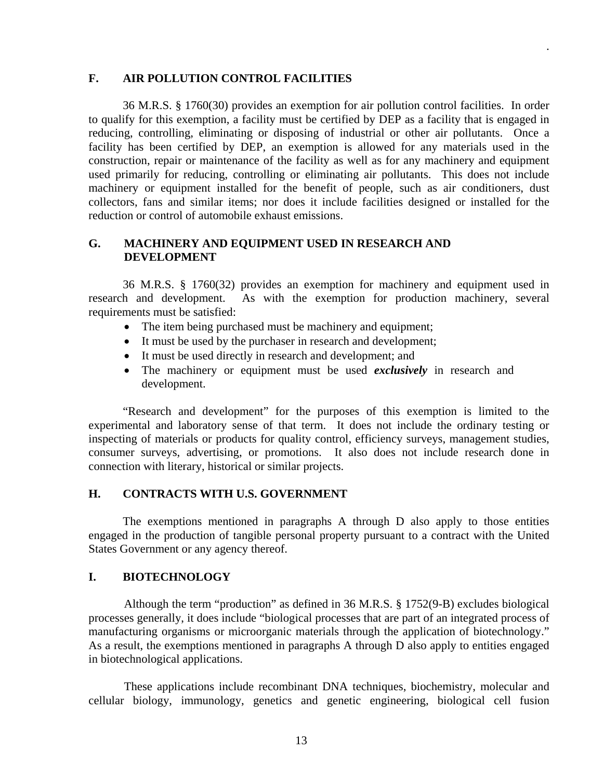#### **F. AIR POLLUTION CONTROL FACILITIES**

 36 M.R.S. § 1760(30) provides an exemption for air pollution control facilities. In order to qualify for this exemption, a facility must be certified by DEP as a facility that is engaged in reducing, controlling, eliminating or disposing of industrial or other air pollutants. Once a facility has been certified by DEP, an exemption is allowed for any materials used in the construction, repair or maintenance of the facility as well as for any machinery and equipment used primarily for reducing, controlling or eliminating air pollutants. This does not include machinery or equipment installed for the benefit of people, such as air conditioners, dust collectors, fans and similar items; nor does it include facilities designed or installed for the reduction or control of automobile exhaust emissions.

.

# **G. MACHINERY AND EQUIPMENT USED IN RESEARCH AND DEVELOPMENT**

 36 M.R.S. § 1760(32) provides an exemption for machinery and equipment used in research and development. As with the exemption for production machinery, several requirements must be satisfied:

- The item being purchased must be machinery and equipment;
- It must be used by the purchaser in research and development;
- It must be used directly in research and development; and
- The machinery or equipment must be used *exclusively* in research and development.

 "Research and development" for the purposes of this exemption is limited to the experimental and laboratory sense of that term. It does not include the ordinary testing or inspecting of materials or products for quality control, efficiency surveys, management studies, consumer surveys, advertising, or promotions. It also does not include research done in connection with literary, historical or similar projects.

#### **H. CONTRACTS WITH U.S. GOVERNMENT**

The exemptions mentioned in paragraphs A through D also apply to those entities engaged in the production of tangible personal property pursuant to a contract with the United States Government or any agency thereof.

#### **I. BIOTECHNOLOGY**

 Although the term "production" as defined in 36 M.R.S. § 1752(9-B) excludes biological processes generally, it does include "biological processes that are part of an integrated process of manufacturing organisms or microorganic materials through the application of biotechnology." As a result, the exemptions mentioned in paragraphs A through D also apply to entities engaged in biotechnological applications.

These applications include recombinant DNA techniques, biochemistry, molecular and cellular biology, immunology, genetics and genetic engineering, biological cell fusion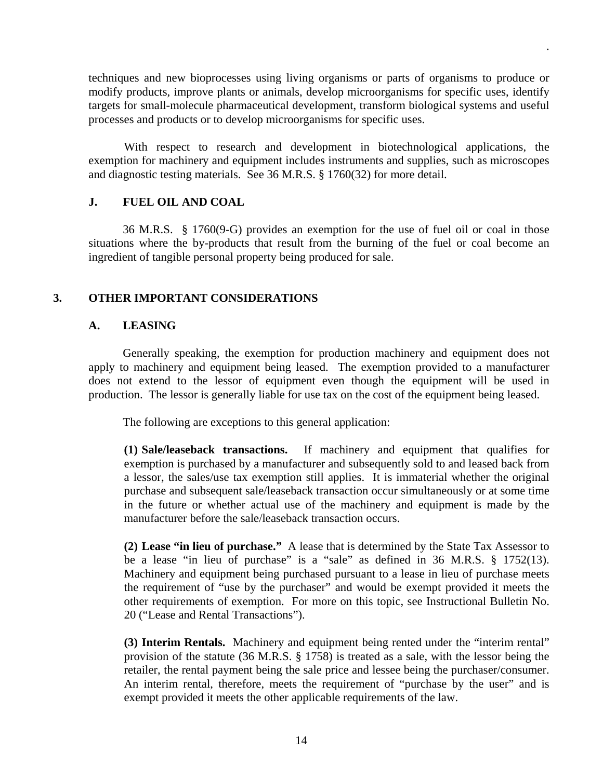techniques and new bioprocesses using living organisms or parts of organisms to produce or modify products, improve plants or animals, develop microorganisms for specific uses, identify targets for small-molecule pharmaceutical development, transform biological systems and useful processes and products or to develop microorganisms for specific uses.

.

With respect to research and development in biotechnological applications, the exemption for machinery and equipment includes instruments and supplies, such as microscopes and diagnostic testing materials. See 36 M.R.S. § 1760(32) for more detail.

#### **J. FUEL OIL AND COAL**

 36 M.R.S. § 1760(9-G) provides an exemption for the use of fuel oil or coal in those situations where the by-products that result from the burning of the fuel or coal become an ingredient of tangible personal property being produced for sale.

#### **3. OTHER IMPORTANT CONSIDERATIONS**

#### **A. LEASING**

Generally speaking, the exemption for production machinery and equipment does not apply to machinery and equipment being leased. The exemption provided to a manufacturer does not extend to the lessor of equipment even though the equipment will be used in production. The lessor is generally liable for use tax on the cost of the equipment being leased.

The following are exceptions to this general application:

**(1) Sale/leaseback transactions.** If machinery and equipment that qualifies for exemption is purchased by a manufacturer and subsequently sold to and leased back from a lessor, the sales/use tax exemption still applies. It is immaterial whether the original purchase and subsequent sale/leaseback transaction occur simultaneously or at some time in the future or whether actual use of the machinery and equipment is made by the manufacturer before the sale/leaseback transaction occurs.

**(2) Lease "in lieu of purchase."** A lease that is determined by the State Tax Assessor to be a lease "in lieu of purchase" is a "sale" as defined in 36 M.R.S. § 1752(13). Machinery and equipment being purchased pursuant to a lease in lieu of purchase meets the requirement of "use by the purchaser" and would be exempt provided it meets the other requirements of exemption. For more on this topic, see Instructional Bulletin No. 20 ("Lease and Rental Transactions").

**(3) Interim Rentals.** Machinery and equipment being rented under the "interim rental" provision of the statute (36 M.R.S. § 1758) is treated as a sale, with the lessor being the retailer, the rental payment being the sale price and lessee being the purchaser/consumer. An interim rental, therefore, meets the requirement of "purchase by the user" and is exempt provided it meets the other applicable requirements of the law.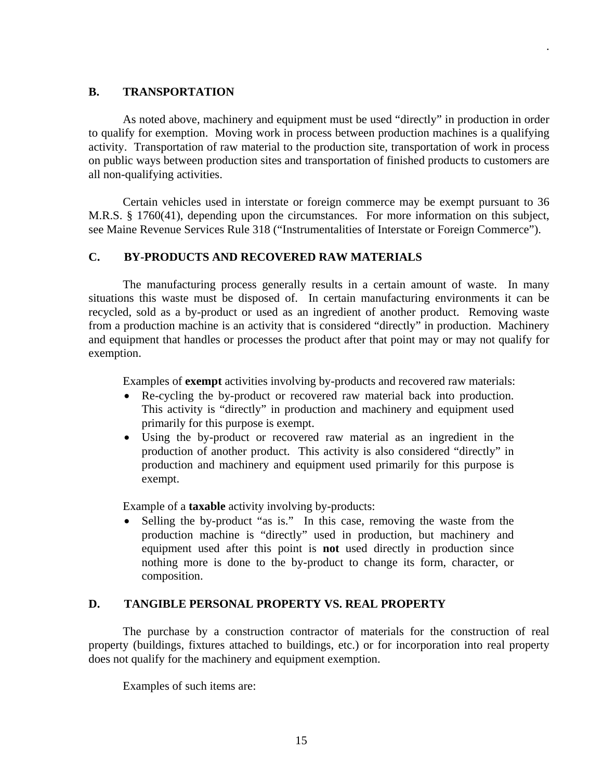# **B. TRANSPORTATION**

As noted above, machinery and equipment must be used "directly" in production in order to qualify for exemption. Moving work in process between production machines is a qualifying activity. Transportation of raw material to the production site, transportation of work in process on public ways between production sites and transportation of finished products to customers are all non-qualifying activities.

.

 Certain vehicles used in interstate or foreign commerce may be exempt pursuant to 36 M.R.S. § 1760(41), depending upon the circumstances. For more information on this subject, see Maine Revenue Services Rule 318 ("Instrumentalities of Interstate or Foreign Commerce").

# **C. BY-PRODUCTS AND RECOVERED RAW MATERIALS**

The manufacturing process generally results in a certain amount of waste. In many situations this waste must be disposed of. In certain manufacturing environments it can be recycled, sold as a by-product or used as an ingredient of another product. Removing waste from a production machine is an activity that is considered "directly" in production. Machinery and equipment that handles or processes the product after that point may or may not qualify for exemption.

Examples of **exempt** activities involving by-products and recovered raw materials:

- Re-cycling the by-product or recovered raw material back into production. This activity is "directly" in production and machinery and equipment used primarily for this purpose is exempt.
- Using the by-product or recovered raw material as an ingredient in the production of another product. This activity is also considered "directly" in production and machinery and equipment used primarily for this purpose is exempt.

Example of a **taxable** activity involving by-products:

• Selling the by-product "as is." In this case, removing the waste from the production machine is "directly" used in production, but machinery and equipment used after this point is **not** used directly in production since nothing more is done to the by-product to change its form, character, or composition.

#### **D. TANGIBLE PERSONAL PROPERTY VS. REAL PROPERTY**

 The purchase by a construction contractor of materials for the construction of real property (buildings, fixtures attached to buildings, etc.) or for incorporation into real property does not qualify for the machinery and equipment exemption.

Examples of such items are: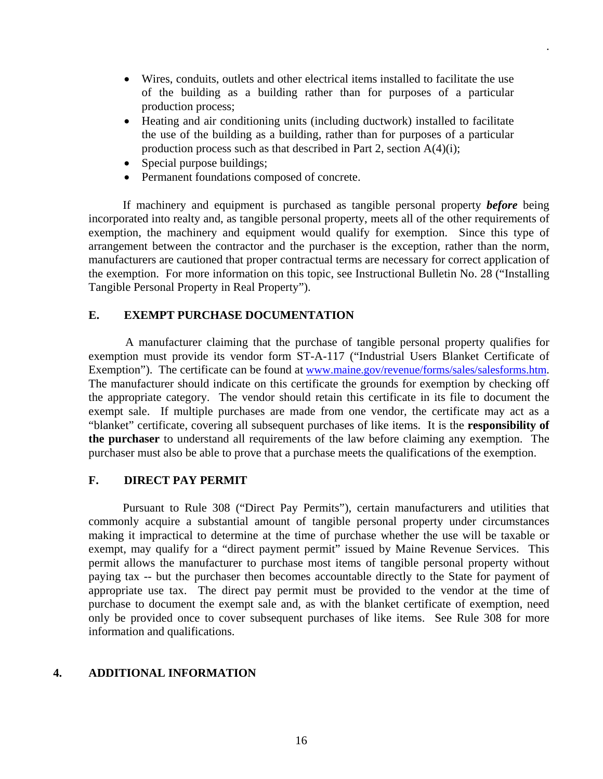Wires, conduits, outlets and other electrical items installed to facilitate the use of the building as a building rather than for purposes of a particular production process;

.

- Heating and air conditioning units (including ductwork) installed to facilitate the use of the building as a building, rather than for purposes of a particular production process such as that described in Part 2, section A(4)(i);
- Special purpose buildings;
- Permanent foundations composed of concrete.

 If machinery and equipment is purchased as tangible personal property *before* being incorporated into realty and, as tangible personal property, meets all of the other requirements of exemption, the machinery and equipment would qualify for exemption. Since this type of arrangement between the contractor and the purchaser is the exception, rather than the norm, manufacturers are cautioned that proper contractual terms are necessary for correct application of the exemption. For more information on this topic, see Instructional Bulletin No. 28 ("Installing Tangible Personal Property in Real Property").

#### **E. EXEMPT PURCHASE DOCUMENTATION**

 A manufacturer claiming that the purchase of tangible personal property qualifies for exemption must provide its vendor form ST-A-117 ("Industrial Users Blanket Certificate of Exemption"). The certificate can be found at www.maine.gov/revenue/forms/sales/salesforms.htm. The manufacturer should indicate on this certificate the grounds for exemption by checking off the appropriate category. The vendor should retain this certificate in its file to document the exempt sale. If multiple purchases are made from one vendor, the certificate may act as a "blanket" certificate, covering all subsequent purchases of like items. It is the **responsibility of the purchaser** to understand all requirements of the law before claiming any exemption. The purchaser must also be able to prove that a purchase meets the qualifications of the exemption.

#### **F. DIRECT PAY PERMIT**

 Pursuant to Rule 308 ("Direct Pay Permits"), certain manufacturers and utilities that commonly acquire a substantial amount of tangible personal property under circumstances making it impractical to determine at the time of purchase whether the use will be taxable or exempt, may qualify for a "direct payment permit" issued by Maine Revenue Services. This permit allows the manufacturer to purchase most items of tangible personal property without paying tax -- but the purchaser then becomes accountable directly to the State for payment of appropriate use tax. The direct pay permit must be provided to the vendor at the time of purchase to document the exempt sale and, as with the blanket certificate of exemption, need only be provided once to cover subsequent purchases of like items. See Rule 308 for more information and qualifications.

# **4. ADDITIONAL INFORMATION**